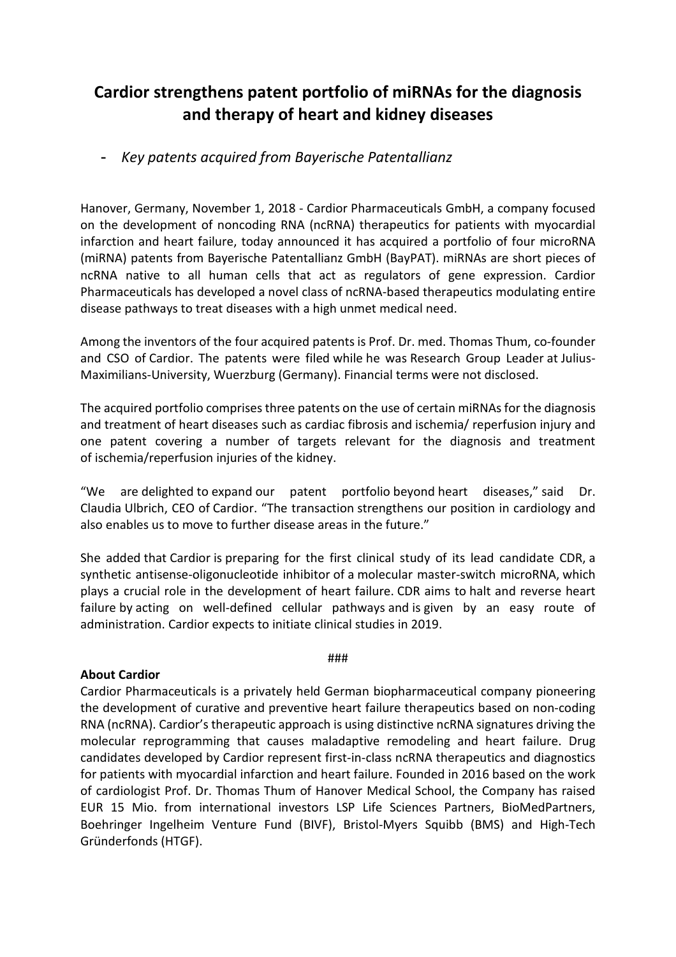# **Cardior strengthens patent portfolio of miRNAs for the diagnosis and therapy of heart and kidney diseases**

# - *Key patents acquired from Bayerische Patentallianz*

Hanover, Germany, November 1, 2018 - Cardior Pharmaceuticals GmbH, a company focused on the development of noncoding RNA (ncRNA) therapeutics for patients with myocardial infarction and heart failure, today announced it has acquired a portfolio of four microRNA (miRNA) patents from Bayerische Patentallianz GmbH (BayPAT). miRNAs are short pieces of ncRNA native to all human cells that act as regulators of gene expression. Cardior Pharmaceuticals has developed a novel class of ncRNA-based therapeutics modulating entire disease pathways to treat diseases with a high unmet medical need.

Among the inventors of the four acquired patents is Prof. Dr. med. Thomas Thum, co-founder and CSO of Cardior. The patents were filed while he was Research Group Leader at Julius-Maximilians-University, Wuerzburg (Germany). Financial terms were not disclosed.

The acquired portfolio comprises three patents on the use of certain miRNAs for the diagnosis and treatment of heart diseases such as cardiac fibrosis and ischemia/ reperfusion injury and one patent covering a number of targets relevant for the diagnosis and treatment of ischemia/reperfusion injuries of the kidney.

"We are delighted to expand our patent portfolio beyond heart diseases," said Dr. Claudia Ulbrich, CEO of Cardior. "The transaction strengthens our position in cardiology and also enables us to move to further disease areas in the future."

She added that Cardior is preparing for the first clinical study of its lead candidate CDR, a synthetic antisense-oligonucleotide inhibitor of a molecular master-switch microRNA, which plays a crucial role in the development of heart failure. CDR aims to halt and reverse heart failure by acting on well-defined cellular pathways and is given by an easy route of administration. Cardior expects to initiate clinical studies in 2019.

#### ###

### **About Cardior**

Cardior Pharmaceuticals is a privately held German biopharmaceutical company pioneering the development of curative and preventive heart failure therapeutics based on non-coding RNA (ncRNA). Cardior's therapeutic approach is using distinctive ncRNA signatures driving the molecular reprogramming that causes maladaptive remodeling and heart failure. Drug candidates developed by Cardior represent first-in-class ncRNA therapeutics and diagnostics for patients with myocardial infarction and heart failure. Founded in 2016 based on the work of cardiologist Prof. Dr. Thomas Thum of Hanover Medical School, the Company has raised EUR 15 Mio. from international investors LSP Life Sciences Partners, BioMedPartners, Boehringer Ingelheim Venture Fund (BIVF), Bristol-Myers Squibb (BMS) and High-Tech Gründerfonds (HTGF).